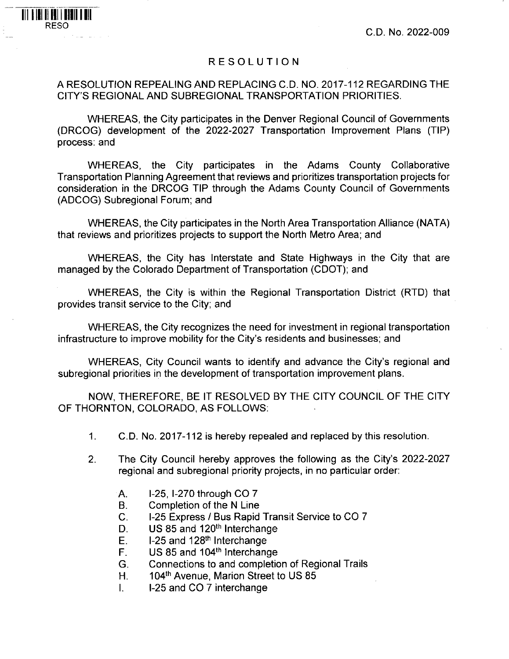C.D. No. 2022-009

## RESOLUTION

III II III II III III III III

## A RESOLUTION REPEALING AND REPLACING C.D. NO. 2017-112 REGARDING THE CITY'S REGIONAL AND SUBREGIONAL TRANSPORTATION PRIORITIES.

WHEREAS, the City participates in the Denver Regional Council of Governments (DRCOG) development of the 2022-2027 Transportation Improvement Plans (TIP) process: and

WHEREAS, the City participates in the Adams County Collaborative Transportation Planning Agreement that reviews and prioritizes transportation projects for consideration in the DRCOG TIP through the Adams County Council of Governments (ADCOG) Subregional Forum; and

WHEREAS, the City participates in the North Area Transportation Alliance (NATA) that reviews and prioritizes projects to support the North Metro Area; and

WHEREAS, the City has Interstate and State Highways in the City that are managed by the Colorado Department of Transportation (CDOT); and

WHEREAS, the City is within the Regional Transportation District (RTD) that provides transit service to the City; and

WHEREAS, the City recognizes the need for investment in regional transportation infrastructure to improve mobility for the City's residents and businesses; and

WHEREAS, City Council wants to identify and advance the City's regional and subregional priorities in the development of transportation improvement plans.

NOW, THEREFORE, BE IT RESOLVED BY THE CITY COUNCIL OF THE CITY OF THORNTON, COLORADO, AS FOLLOWS:

- 1. C.D. No. 2017-112 is hereby repealed and replaced by this resolution.
- 2. The City Council hereby approves the following as the City's 2022-2027 regional and subregional priority projects, in no particular order:
	- A. 1-25, 1-270 through CO 7
	- B. Completion of the N Line
	- C. 1-25 Express / Bus Rapid Transit Service to CO 7
	- D. US 85 and 120<sup>th</sup> Interchange
	- $E.$  1-25 and 128<sup>th</sup> Interchange
	- F. US 85 and 104<sup>th</sup> Interchange
	- G. Connections to and completion of Regional Trails
	- H. 104<sup>th</sup> Avenue, Marion Street to US 85
	- I. I-25 and CO 7 interchange